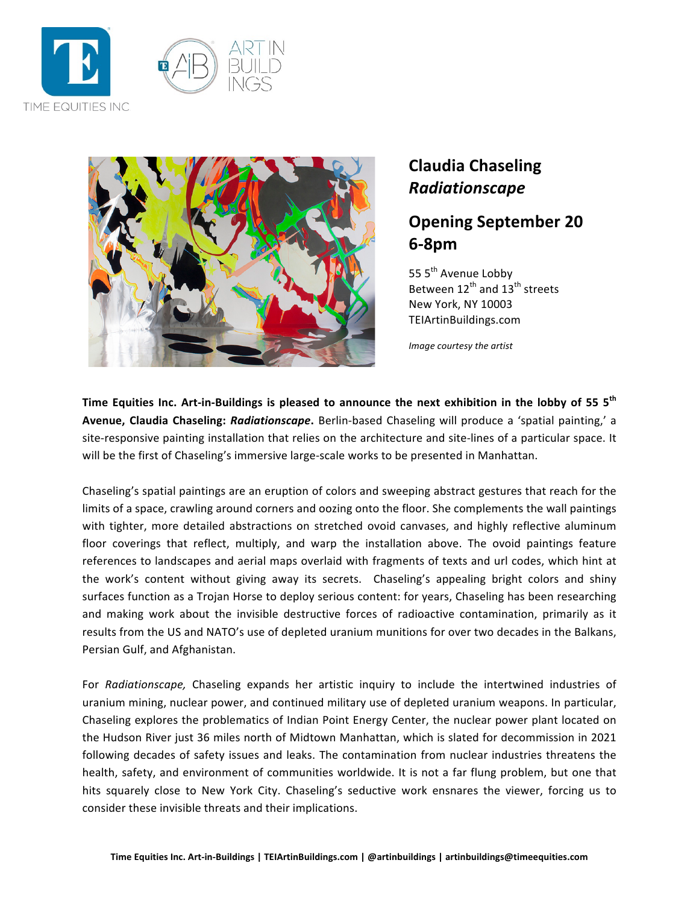



## **Claudia Chaseling** *Radiationscape*

## **Opening September 20 618pm**

55 5<sup>th</sup> Avenue Lobby Between  $12^{th}$  and  $13^{th}$  streets New York, NY 10003 TEIArtinBuildings.com

*Image courtesy the artist*

Time Equities Inc. Art-in-Buildings is pleased to announce the next exhibition in the lobby of 55 5<sup>th</sup> Avenue, Claudia Chaseling: Radiationscape. Berlin-based Chaseling will produce a 'spatial painting,' a site-responsive painting installation that relies on the architecture and site-lines of a particular space. It will be the first of Chaseling's immersive large-scale works to be presented in Manhattan.

Chaseling's spatial paintings are an eruption of colors and sweeping abstract gestures that reach for the limits of a space, crawling around corners and oozing onto the floor. She complements the wall paintings with tighter, more detailed abstractions on stretched ovoid canvases, and highly reflective aluminum floor coverings that reflect, multiply, and warp the installation above. The ovoid paintings feature references to landscapes and aerial maps overlaid with fragments of texts and url codes, which hint at the work's content without giving away its secrets. Chaseling's appealing bright colors and shiny surfaces function as a Trojan Horse to deploy serious content: for years, Chaseling has been researching and making work about the invisible destructive forces of radioactive contamination, primarily as it results from the US and NATO's use of depleted uranium munitions for over two decades in the Balkans, Persian Gulf, and Afghanistan.

For *Radiationscape,* Chaseling expands her artistic inquiry to include the intertwined industries of uranium mining, nuclear power, and continued military use of depleted uranium weapons. In particular, Chaseling explores the problematics of Indian Point Energy Center, the nuclear power plant located on the Hudson River just 36 miles north of Midtown Manhattan, which is slated for decommission in 2021 following decades of safety issues and leaks. The contamination from nuclear industries threatens the health, safety, and environment of communities worldwide. It is not a far flung problem, but one that hits squarely close to New York City. Chaseling's seductive work ensnares the viewer, forcing us to consider these invisible threats and their implications.